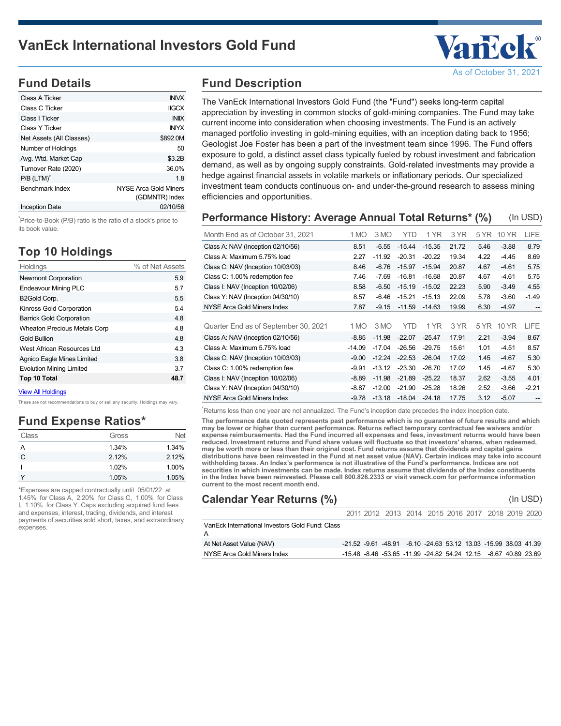

As of October 31, 202

# **Fund Details**

| Class A Ticker           | <b>INIVX</b>                            |
|--------------------------|-----------------------------------------|
|                          |                                         |
| Class C Ticker           | <b>IIGCX</b>                            |
| Class I Ticker           | <b>INIX</b>                             |
| Class Y Ticker           | <b>INIYX</b>                            |
| Net Assets (All Classes) | \$892.0M                                |
| Number of Holdings       | 50                                      |
| Avg. Wtd. Market Cap     | \$3.2B                                  |
| Turnover Rate (2020)     | 36.0%                                   |
| P/B (LTM) <sup>*</sup>   | 1.8                                     |
| <b>Benchmark Index</b>   | NYSE Arca Gold Miners<br>(GDMNTR) Index |
| Inception Date           | 02/10/56                                |

<sup>\*</sup>Price-to-Book (P/B) ratio is the ratio of a stock's price to its book value.

# **Top 10 Holdings**

| Holdings                            | % of Net Assets |
|-------------------------------------|-----------------|
| <b>Newmont Corporation</b>          | 5.9             |
| <b>Endeavour Mining PLC</b>         | 5.7             |
| B2Gold Corp.                        | 5.5             |
| Kinross Gold Corporation            | 5.4             |
| <b>Barrick Gold Corporation</b>     | 4.8             |
| <b>Wheaton Precious Metals Corp</b> | 4.8             |
| <b>Gold Bullion</b>                 | 4.8             |
| West African Resources Ltd          | 4.3             |
| Agnico Eagle Mines Limited          | 3.8             |
| <b>Evolution Mining Limited</b>     | 3.7             |
| Top 10 Total                        | 48.7            |
|                                     |                 |

View All Holdings

These are not recommendations to buy or sell any security. Holdings may vary.

### **Fund Expense Ratios\***

| Class | Gross | Net   |
|-------|-------|-------|
| A     | 1.34% | 1.34% |
| C     | 2.12% | 2.12% |
|       | 1.02% | 1.00% |
|       | 1.05% | 1.05% |

\*Expenses are capped contractually until 05/01/22 at 1.45% for Class A, 2.20% for Class C, 1.00% for Class I, 1.10% for Class Y. Caps excluding acquired fund fees and expenses, interest, trading, dividends, and interest payments of securities sold short, taxes, and extraordinary expenses.

# **Fund Description**

The VanEck International Investors Gold Fund (the "Fund") seeks long-term capital appreciation by investing in common stocks of gold-mining companies. The Fund may take current income into consideration when choosing investments. The Fund is an actively managed portfolio investing in gold-mining equities, with an inception dating back to 1956; Geologist Joe Foster has been a part of the investment team since 1996. The Fund offers exposure to gold, a distinct asset class typically fueled by robust investment and fabrication demand, as well as by ongoing supply constraints. Gold-related investments may provide a hedge against financial assets in volatile markets or inflationary periods. Our specialized investment team conducts continuous on- and under-the-ground research to assess mining efficiencies and opportunities.

| Performance History: Average Annual Total Returns* (%) |          |          |          |          |       |       |         | (In USD)          |
|--------------------------------------------------------|----------|----------|----------|----------|-------|-------|---------|-------------------|
| Month End as of October 31, 2021                       | 1 MO     | 3 MO     | YTD      | 1 YR     | 3 YR  | 5 YR. | 10 YR   | LIFE              |
| Class A: NAV (Inception 02/10/56)                      | 8.51     | $-6.55$  | $-15.44$ | $-15.35$ | 21.72 | 5.46  | $-3.88$ | 8.79              |
| Class A: Maximum 5.75% load                            | 2.27     | $-11.92$ | $-20.31$ | $-20.22$ | 19.34 | 4.22  | $-4.45$ | 8.69              |
| Class C: NAV (Inception 10/03/03)                      | 8.46     | $-6.76$  | $-15.97$ | $-15.94$ | 20.87 | 4.67  | $-4.61$ | 5.75              |
| Class C: 1.00% redemption fee                          | 7.46     | $-7.69$  | $-16.81$ | $-16.68$ | 20.87 | 4.67  | $-4.61$ | 5.75              |
| Class I: NAV (Inception 10/02/06)                      | 8.58     | $-6.50$  | $-15.19$ | $-15.02$ | 22.23 | 5.90  | $-3.49$ | 4.55              |
| Class Y: NAV (Inception 04/30/10)                      | 8.57     | $-6.46$  | $-15.21$ | $-15.13$ | 22.09 | 5.78  | $-3.60$ | $-1.49$           |
| NYSE Arca Gold Miners Index                            | 7.87     | $-9.15$  | $-11.59$ | $-14.63$ | 19.99 | 6.30  | $-4.97$ | $\qquad \qquad -$ |
| Quarter End as of September 30, 2021                   | 1 MO     | 3 MO     | YTD      | 1 YR     | 3 YR  | 5 YR  | 10 YR   | LIFE              |
| Class A: NAV (Inception 02/10/56)                      | $-8.85$  | $-11.98$ | $-22.07$ | $-25.47$ | 17.91 | 2.21  | $-3.94$ | 8.67              |
| Class A: Maximum 5.75% load                            | $-14.09$ | $-17.04$ | $-26.56$ | $-29.75$ | 15.61 | 1.01  | $-4.51$ | 8.57              |
| Class C: NAV (Inception 10/03/03)                      | $-9.00$  | $-12.24$ | $-22.53$ | $-26.04$ | 17.02 | 1.45  | $-4.67$ | 5.30              |
| Class C: 1.00% redemption fee                          | $-9.91$  | $-13.12$ | $-23.30$ | $-26.70$ | 17.02 | 1.45  | $-4.67$ | 5.30              |
| Class I: NAV (Inception 10/02/06)                      | $-8.89$  | $-11.98$ | $-21.89$ | $-25.22$ | 18.37 | 2.62  | $-3.55$ | 4.01              |
| Class Y: NAV (Inception 04/30/10)                      | $-8.87$  | $-12.00$ | $-21.90$ | $-25.28$ | 18.26 | 2.52  | $-3.66$ | $-2.21$           |
| NYSE Arca Gold Miners Index                            | $-9.78$  | $-13.18$ | $-18.04$ | $-24.18$ | 17.75 | 3.12  | $-5.07$ | --                |

\*Returns less than one year are not annualized. The Fund's inception date precedes the index inception date.

**The performance data quoted represents past performance which is no guarantee of future results and which may be lower or higher than current performance. Returns reflect temporary contractual fee waivers and/or expense reimbursements. Had the Fund incurred all expenses and fees, investment returns would have been reduced. Investment returns and Fund share values will fluctuate so that investors' shares, when redeemed, may be worth more or less than their original cost. Fund returns assume that dividends and capital gains distributions have been reinvested in the Fund at net asset value (NAV). Certain indices may take into account withholding taxes. An Index's performance is not illustrative of the Fund's performance. Indices are not securities in which investments can be made. Index returns assume that dividends of the Index constituents in the Index have been reinvested. Please call 800.826.2333 or visit vaneck.com for performance information current to the most recent month end.**

### **Calendar Year Returns (%)**

| (In USD) |  |  |
|----------|--|--|
|          |  |  |

|                                                 | 2011 2012 2013 2014 2015 2016 2017 2018 2019 2020               |  |  |  |  |
|-------------------------------------------------|-----------------------------------------------------------------|--|--|--|--|
| VanEck International Investors Gold Fund: Class |                                                                 |  |  |  |  |
| At Net Asset Value (NAV)                        | -21.52 -9.61 -48.91 -6.10 -24.63 53.12 13.03 -15.99 38.03 41.39 |  |  |  |  |
| NYSE Arca Gold Miners Index                     | -15.48 -8.46 -53.65 -11.99 -24.82 54.24 12.15 -8.67 40.89 23.69 |  |  |  |  |